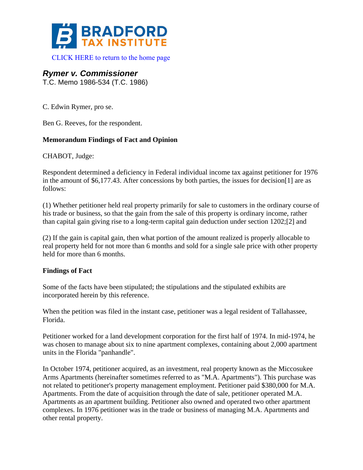

[CLICK HERE to return to the home page](http://www.bradfordtaxinstitute.com/) 

# *Rymer v. Commissioner*

T.C. Memo 1986-534 (T.C. 1986)

C. Edwin Rymer, pro se.

Ben G. Reeves, for the respondent.

#### **Memorandum Findings of Fact and Opinion**

CHABOT, Judge:

Respondent determined a deficiency in Federal individual income tax against petitioner for 1976 in the amount of \$6,177.43. After concessions by both parties, the issues for decision[1] are as follows:

(1) Whether petitioner held real property primarily for sale to customers in the ordinary course of his trade or business, so that the gain from the sale of this property is ordinary income, rather than capital gain giving rise to a long-term capital gain deduction under section 1202;[2] and

(2) If the gain is capital gain, then what portion of the amount realized is properly allocable to real property held for not more than 6 months and sold for a single sale price with other property held for more than 6 months.

## **Findings of Fact**

Some of the facts have been stipulated; the stipulations and the stipulated exhibits are incorporated herein by this reference.

When the petition was filed in the instant case, petitioner was a legal resident of Tallahassee, Florida.

Petitioner worked for a land development corporation for the first half of 1974. In mid-1974, he was chosen to manage about six to nine apartment complexes, containing about 2,000 apartment units in the Florida "panhandle".

In October 1974, petitioner acquired, as an investment, real property known as the Miccosukee Arms Apartments (hereinafter sometimes referred to as "M.A. Apartments"). This purchase was not related to petitioner's property management employment. Petitioner paid \$380,000 for M.A. Apartments. From the date of acquisition through the date of sale, petitioner operated M.A. Apartments as an apartment building. Petitioner also owned and operated two other apartment complexes. In 1976 petitioner was in the trade or business of managing M.A. Apartments and other rental property.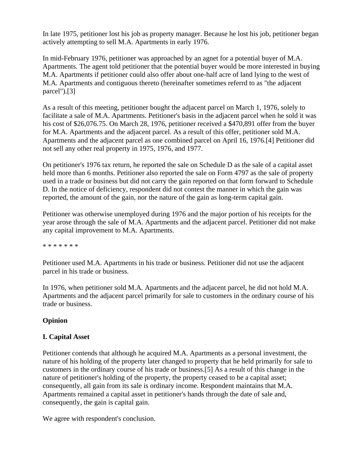In late 1975, petitioner lost his job as property manager. Because he lost his job, petitioner began actively attempting to sell M.A. Apartments in early 1976.

In mid-February 1976, petitioner was approached by an agnet for a potential buyer of M.A. Apartments. The agent told petitioner that the potential buyer would be more interested in buying M.A. Apartments if petitioner could also offer about one-half acre of land lying to the west of M.A. Apartments and contiguous thereto (hereinafter sometimes referrd to as "the adjacent parcel").[3]

As a result of this meeting, petitioner bought the adjacent parcel on March 1, 1976, solely to facilitate a sale of M.A. Apartments. Petitioner's basis in the adjacent parcel when he sold it was his cost of \$26,076.75. On March 28, 1976, petitioner received a \$470,891 offer from the buyer for M.A. Apartments and the adjacent parcel. As a result of this offer, petitioner sold M.A. Apartments and the adjacent parcel as one combined parcel on April 16, 1976.[4] Petitioner did not sell any other real property in 1975, 1976, and 1977.

On petitioner's 1976 tax return, he reported the sale on Schedule D as the sale of a capital asset held more than 6 months. Petitioner also reported the sale on Form 4797 as the sale of property used in a trade or business but did not carry the gain reported on that form forward to Schedule D. In the notice of deficiency, respondent did not contest the manner in which the gain was reported, the amount of the gain, nor the nature of the gain as long-term capital gain.

Petitioner was otherwise unemployed during 1976 and the major portion of his receipts for the year arose through the sale of M.A. Apartments and the adjacent parcel. Petitioner did not make any capital improvement to M.A. Apartments.

\* \* \* \* \* \* \*

Petitioner used M.A. Apartments in his trade or business. Petitioner did not use the adjacent parcel in his trade or business.

In 1976, when petitioner sold M.A. Apartments and the adjacent parcel, he did not hold M.A. Apartments and the adjacent parcel primarily for sale to customers in the ordinary course of his trade or business.

## **Opinion**

## **I. Capital Asset**

Petitioner contends that although he acquired M.A. Apartments as a personal investment, the nature of his holding of the property later changed to property that he held primarily for sale to customers in the ordinary course of his trade or business.[5] As a result of this change in the nature of petitioner's holding of the property, the property ceased to be a capital asset; consequently, all gain from its sale is ordinary income. Respondent maintains that M.A. Apartments remained a capital asset in petitioner's hands through the date of sale and, consequently, the gain is capital gain.

We agree with respondent's conclusion.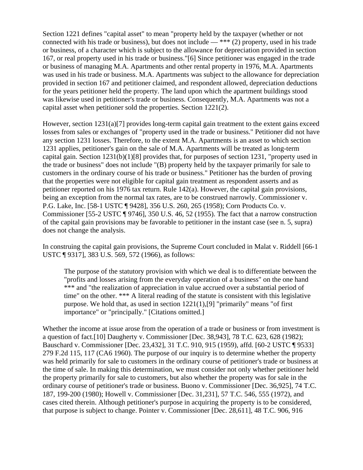Section 1221 defines "capital asset" to mean "property held by the taxpayer (whether or not connected with his trade or business), but does not include  $-$  \*\*\* (2) property, used in his trade or business, of a character which is subject to the allowance for depreciation provided in section 167, or real property used in his trade or business."[6] Since petitioner was engaged in the trade or business of managing M.A. Apartments and other rental property in 1976, M.A. Apartments was used in his trade or business. M.A. Apartments was subject to the allowance for depreciation provided in section 167 and petitioner claimed, and respondent allowed, depreciation deductions for the years petitioner held the property. The land upon which the apartment buildings stood was likewise used in petitioner's trade or business. Consequently, M.A. Apartments was not a capital asset when petitioner sold the properties. Section 1221(2).

However, section 1231(a)[7] provides long-term capital gain treatment to the extent gains exceed losses from sales or exchanges of "property used in the trade or business." Petitioner did not have any section 1231 losses. Therefore, to the extent M.A. Apartments is an asset to which section 1231 applies, petitioner's gain on the sale of M.A. Apartments will be treated as long-term capital gain. Section 1231(b)(1)[8] provides that, for purposes of section 1231, "property used in the trade or business" does not include "(B) property held by the taxpayer primarily for sale to customers in the ordinary course of his trade or business." Petitioner has the burden of proving that the properties were not eligible for capital gain treatment as respondent asserts and as petitioner reported on his 1976 tax return. Rule 142(a). However, the capital gain provisions, being an exception from the normal tax rates, are to be construed narrowly. Commissioner v. P.G. Lake, Inc. [58-1 USTC ¶ 9428], 356 U.S. 260, 265 (1958); Corn Products Co. v. Commissioner [55-2 USTC ¶ 9746], 350 U.S. 46, 52 (1955). The fact that a narrow construction of the capital gain provisions may be favorable to petitioner in the instant case (see n. 5, supra) does not change the analysis.

In construing the capital gain provisions, the Supreme Court concluded in Malat v. Riddell [66-1 USTC ¶ 9317], 383 U.S. 569, 572 (1966), as follows:

The purpose of the statutory provision with which we deal is to differentiate between the "profits and losses arising from the everyday operation of a business" on the one hand \*\*\* and "the realization of appreciation in value accrued over a substantial period of time" on the other. \*\*\* A literal reading of the statute is consistent with this legislative purpose. We hold that, as used in section 1221(1),[9] "primarily" means "of first importance" or "principally." [Citations omitted.]

Whether the income at issue arose from the operation of a trade or business or from investment is a question of fact.[10] Daugherty v. Commissioner [Dec. 38,943], 78 T.C. 623, 628 (1982); Bauschard v. Commissioner [Dec. 23,432], 31 T.C. 910, 915 (1959), affd. [60-2 USTC ¶ 9533] 279 F.2d 115, 117 (CA6 1960). The purpose of our inquiry is to determine whether the property was held primarily for sale to customers in the ordinary course of petitioner's trade or business at the time of sale. In making this determination, we must consider not only whether petitioner held the property primarily for sale to customers, but also whether the property was for sale in the ordinary course of petitioner's trade or business. Buono v. Commissioner [Dec. 36,925], 74 T.C. 187, 199-200 (1980); Howell v. Commissioner [Dec. 31,231], 57 T.C. 546, 555 (1972), and cases cited therein. Although petitioner's purpose in acquiring the property is to be considered, that purpose is subject to change. Pointer v. Commissioner [Dec. 28,611], 48 T.C. 906, 916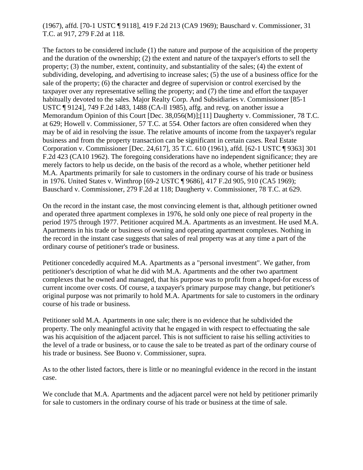## (1967), affd. [70-1 USTC ¶ 9118], 419 F.2d 213 (CA9 1969); Bauschard v. Commissioner, 31 T.C. at 917, 279 F.2d at 118.

The factors to be considered include (1) the nature and purpose of the acquisition of the property and the duration of the ownership; (2) the extent and nature of the taxpayer's efforts to sell the property; (3) the number, extent, continuity, and substantiality of the sales; (4) the extent of subdividing, developing, and advertising to increase sales; (5) the use of a business office for the sale of the property; (6) the character and degree of supervision or control exercised by the taxpayer over any representative selling the property; and (7) the time and effort the taxpayer habitually devoted to the sales. Major Realty Corp. And Subsidiaries v. Commissioner [85-1 USTC ¶ 9124], 749 F.2d 1483, 1488 (CA-ll 1985), affg. and revg. on another issue a Memorandum Opinion of this Court [Dec. 38,056(M)];[11] Daugherty v. Commissioner, 78 T.C. at 629; Howell v. Commissioner, 57 T.C. at 554. Other factors are often considered when they may be of aid in resolving the issue. The relative amounts of income from the taxpayer's regular business and from the property transaction can be significant in certain cases. Real Estate Corporation v. Commissioner [Dec. 24,617], 35 T.C. 610 (1961), affd. [62-1 USTC ¶ 9363] 301 F.2d 423 (CA10 1962). The foregoing considerations have no independent significance; they are merely factors to help us decide, on the basis of the record as a whole, whether petitioner held M.A. Apartments primarily for sale to customers in the ordinary course of his trade or business in 1976. United States v. Winthrop [69-2 USTC ¶ 9686], 417 F.2d 905, 910 (CA5 1969); Bauschard v. Commissioner, 279 F.2d at 118; Daugherty v. Commissioner, 78 T.C. at 629.

On the record in the instant case, the most convincing element is that, although petitioner owned and operated three apartment complexes in 1976, he sold only one piece of real property in the period 1975 through 1977. Petitioner acquired M.A. Apartments as an investment. He used M.A. Apartments in his trade or business of owning and operating apartment complexes. Nothing in the record in the instant case suggests that sales of real property was at any time a part of the ordinary course of petitioner's trade or business.

Petitioner concededly acquired M.A. Apartments as a "personal investment". We gather, from petitioner's description of what he did with M.A. Apartments and the other two apartment complexes that he owned and managed, that his purpose was to profit from a hoped-for excess of current income over costs. Of course, a taxpayer's primary purpose may change, but petitioner's original purpose was not primarily to hold M.A. Apartments for sale to customers in the ordinary course of his trade or business.

Petitioner sold M.A. Apartments in one sale; there is no evidence that he subdivided the property. The only meaningful activity that he engaged in with respect to effectuating the sale was his acquisition of the adjacent parcel. This is not sufficient to raise his selling activities to the level of a trade or business, or to cause the sale to be treated as part of the ordinary course of his trade or business. See Buono v. Commissioner, supra.

As to the other listed factors, there is little or no meaningful evidence in the record in the instant case.

We conclude that M.A. Apartments and the adjacent parcel were not held by petitioner primarily for sale to customers in the ordinary course of his trade or business at the time of sale.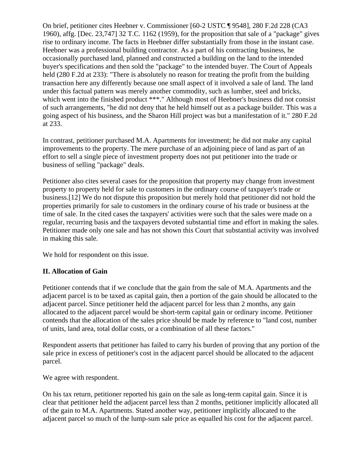On brief, petitioner cites Heebner v. Commissioner [60-2 USTC ¶ 9548], 280 F.2d 228 (CA3 1960), affg. [Dec. 23,747] 32 T.C. 1162 (1959), for the proposition that sale of a "package" gives rise to ordinary income. The facts in Heebner differ substantially from those in the instant case. Heebner was a professional building contractor. As a part of his contracting business, he occasionally purchased land, planned and constructed a building on the land to the intended buyer's specifications and then sold the "package" to the intended buyer. The Court of Appeals held (280 F.2d at 233): "There is absolutely no reason for treating the profit from the building transaction here any differently because one small aspect of it involved a sale of land. The land under this factual pattern was merely another commodity, such as lumber, steel and bricks, which went into the finished product \*\*\*." Although most of Heebner's business did not consist of such arrangements, "he did not deny that he held himself out as a package builder. This was a going aspect of his business, and the Sharon Hill project was but a manifestation of it." 280 F.2d at 233.

In contrast, petitioner purchased M.A. Apartments for investment; he did not make any capital improvements to the property. The mere purchase of an adjoining piece of land as part of an effort to sell a single piece of investment property does not put petitioner into the trade or business of selling "package" deals.

Petitioner also cites several cases for the proposition that property may change from investment property to property held for sale to customers in the ordinary course of taxpayer's trade or business.[12] We do not dispute this proposition but merely hold that petitioner did not hold the properties primarily for sale to customers in the ordinary course of his trade or business at the time of sale. In the cited cases the taxpayers' activities were such that the sales were made on a regular, recurring basis and the taxpayers devoted substantial time and effort in making the sales. Petitioner made only one sale and has not shown this Court that substantial activity was involved in making this sale.

We hold for respondent on this issue.

## **II. Allocation of Gain**

Petitioner contends that if we conclude that the gain from the sale of M.A. Apartments and the adjacent parcel is to be taxed as capital gain, then a portion of the gain should be allocated to the adjacent parcel. Since petitioner held the adjacent parcel for less than 2 months, any gain allocated to the adjacent parcel would be short-term capital gain or ordinary income. Petitioner contends that the allocation of the sales price should be made by reference to "land cost, number of units, land area, total dollar costs, or a combination of all these factors."

Respondent asserts that petitioner has failed to carry his burden of proving that any portion of the sale price in excess of petitioner's cost in the adjacent parcel should be allocated to the adjacent parcel.

We agree with respondent.

On his tax return, petitioner reported his gain on the sale as long-term capital gain. Since it is clear that petitioner held the adjacent parcel less than 2 months, petitioner implicitly allocated all of the gain to M.A. Apartments. Stated another way, petitioner implicitly allocated to the adjacent parcel so much of the lump-sum sale price as equalled his cost for the adjacent parcel.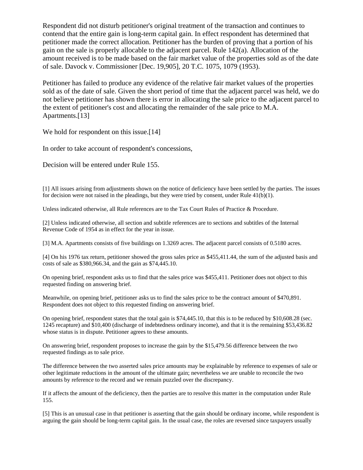Respondent did not disturb petitioner's original treatment of the transaction and continues to contend that the entire gain is long-term capital gain. In effect respondent has determined that petitioner made the correct allocation. Petitioner has the burden of proving that a portion of his gain on the sale is properly allocable to the adjacent parcel. Rule 142(a). Allocation of the amount received is to be made based on the fair market value of the properties sold as of the date of sale. Davock v. Commissioner [Dec. 19,905], 20 T.C. 1075, 1079 (1953).

Petitioner has failed to produce any evidence of the relative fair market values of the properties sold as of the date of sale. Given the short period of time that the adjacent parcel was held, we do not believe petitioner has shown there is error in allocating the sale price to the adjacent parcel to the extent of petitioner's cost and allocating the remainder of the sale price to M.A. Apartments.[13]

We hold for respondent on this issue.<sup>[14]</sup>

In order to take account of respondent's concessions,

Decision will be entered under Rule 155.

[1] All issues arising from adjustments shown on the notice of deficiency have been settled by the parties. The issues for decision were not raised in the pleadings, but they were tried by consent, under Rule 41(b)(1).

Unless indicated otherwise, all Rule references are to the Tax Court Rules of Practice & Procedure.

[2] Unless indicated otherwise, all section and subtitle references are to sections and subtitles of the Internal Revenue Code of 1954 as in effect for the year in issue.

[3] M.A. Apartments consists of five buildings on 1.3269 acres. The adjacent parcel consists of 0.5180 acres.

[4] On his 1976 tax return, petitioner showed the gross sales price as \$455,411.44, the sum of the adjusted basis and costs of sale as \$380,966.34, and the gain as \$74,445.10.

On opening brief, respondent asks us to find that the sales price was \$455,411. Petitioner does not object to this requested finding on answering brief.

Meanwhile, on opening brief, petitioner asks us to find the sales price to be the contract amount of \$470,891. Respondent does not object to this requested finding on answering brief.

On opening brief, respondent states that the total gain is \$74,445.10, that this is to be reduced by \$10,608.28 (sec. 1245 recapture) and \$10,400 (discharge of indebtedness ordinary income), and that it is the remaining \$53,436.82 whose status is in dispute. Petitioner agrees to these amounts.

On answering brief, respondent proposes to increase the gain by the \$15,479.56 difference between the two requested findings as to sale price.

The difference between the two asserted sales price amounts may be explainable by reference to expenses of sale or other legitimate reductions in the amount of the ultimate gain; nevertheless we are unable to reconcile the two amounts by reference to the record and we remain puzzled over the discrepancy.

If it affects the amount of the deficiency, then the parties are to resolve this matter in the computation under Rule 155.

[5] This is an unusual case in that petitioner is asserting that the gain should be ordinary income, while respondent is arguing the gain should be long-term capital gain. In the usual case, the roles are reversed since taxpayers usually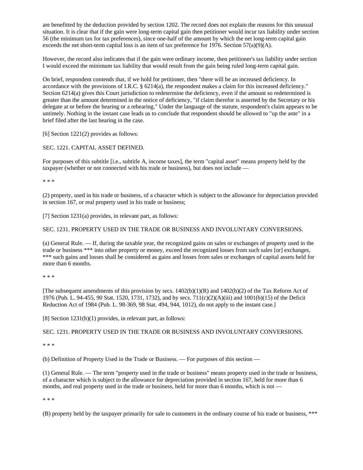are benefitted by the deduction provided by section 1202. The record does not explain the reasons for this unusual situation. It is clear that if the gain were long-term capital gain then petitioner would incur tax liability under section 56 (the minimum tax for tax preferences), since one-half of the amount by which the net long-term capital gain exceeds the net short-term capital loss is an item of tax preference for 1976. Section  $57(a)(9)(A)$ .

However, the record also indicates that if the gain were ordinary income, then petitioner's tax liability under section I would exceed the minimum tax liability that would result from the gain being ruled long-term capital gain.

On brief, respondent contends that, if we hold for petitioner, then "there will be an increased deficiency. In accordance with the provisions of I.R.C.  $\S 6214(a)$ , the respondent makes a claim for this increased deficiency." Section 6214(a) gives this Court jurisdiction to redetermine the deficiency, even if the amount so redetermined is greater than the amount determined in the notice of deficiency, "if claim therefor is asserted by the Secretary or his delegate at or before the hearing or a rehearing." Under the language of the statute, respondent's claim appears to be untimely. Nothing in the instant case leads us to conclude that respondent should be allowed to "up the ante" in a brief filed after the last hearing in the case.

[6] Section 1221(2) provides as follows:

SEC. 1221. CAPITAL ASSET DEFINED.

For purposes of this subtitle [i.e., subtitle A, income taxes], the term "capital asset" means property held by the taxpayer (whether or not connected with his trade or business), but does not include —

\* \* \*

(2) property, used in his trade or business, of a character which is subject to the allowance for depreciation provided in section 167, or real property used in his trade or business;

[7] Section 1231(a) provides, in relevant part, as follows:

SEC. 1231. PROPERTY USED IN THE TRADE OR BUSINESS AND INVOLUNTARY CONVERSIONS.

(a) General Rule. — If, during the taxable year, the recognized gains on sales or exchanges of property used in the trade or business \*\*\* into other property or money, exceed the recognized losses from such sales [or] exchanges, \*\*\* such gains and losses shall be considered as gains and losses from sales or exchanges of capital assets held for more than 6 months.

\* \* \*

[The subsequent amendments of this provision by secs.  $1402(b)(1)(R)$  and  $1402(b)(2)$  of the Tax Reform Act of 1976 (Pub. L. 94-455, 90 Stat. 1520, 1731, 1732), and by secs. 711(c)(2)(A)(iii) and 1001(b)(15) of the Deficit Reduction Act of 1984 (Pub. L. 98-369, 98 Stat. 494, 944, 1012), do not apply to the instant case.]

[8] Section 1231(b)(1) provides, in relevant part, as follows:

SEC. 1231. PROPERTY USED IN THE TRADE OR BUSINESS AND INVOLUNTARY CONVERSIONS.

\* \* \*

(b) Definition of Property Used in the Trade or Business. — For purposes of this section —

(1) General Rule. — The term "property used in the trade or business" means property used in the trade or business, of a character which is subject to the allowance for depreciation provided in section 167, held for more than 6 months, and real property used in the trade or business, held for more than 6 months, which is not —

\* \* \*

(B) property held by the taxpayer primarily for sale to customers in the ordinary course of his trade or business, \*\*\*